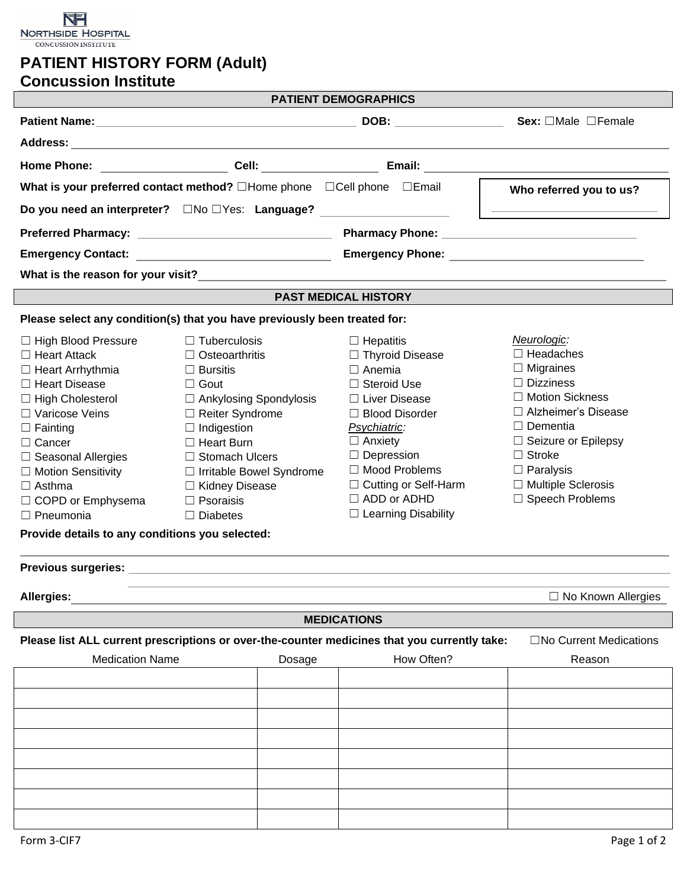

## **PATIENT HISTORY FORM (Adult) Concussion Institute**

|                                                                                                                                                                                                                                                                                                                                         |                                                                                                                                                                                                                                                                                                   | <b>PATIENT DEMOGRAPHICS</b>                                                                                                                                                                                                                                                 |                                                                                                                                                                                                                                                          |  |  |
|-----------------------------------------------------------------------------------------------------------------------------------------------------------------------------------------------------------------------------------------------------------------------------------------------------------------------------------------|---------------------------------------------------------------------------------------------------------------------------------------------------------------------------------------------------------------------------------------------------------------------------------------------------|-----------------------------------------------------------------------------------------------------------------------------------------------------------------------------------------------------------------------------------------------------------------------------|----------------------------------------------------------------------------------------------------------------------------------------------------------------------------------------------------------------------------------------------------------|--|--|
|                                                                                                                                                                                                                                                                                                                                         |                                                                                                                                                                                                                                                                                                   | DOB: Sex: OMale OFemale                                                                                                                                                                                                                                                     |                                                                                                                                                                                                                                                          |  |  |
|                                                                                                                                                                                                                                                                                                                                         |                                                                                                                                                                                                                                                                                                   |                                                                                                                                                                                                                                                                             |                                                                                                                                                                                                                                                          |  |  |
|                                                                                                                                                                                                                                                                                                                                         | Home Phone: Cell: Cell: Email:                                                                                                                                                                                                                                                                    |                                                                                                                                                                                                                                                                             |                                                                                                                                                                                                                                                          |  |  |
| What is your preferred contact method? □Home phone □Cell phone □Email<br>Who referred you to us?                                                                                                                                                                                                                                        |                                                                                                                                                                                                                                                                                                   |                                                                                                                                                                                                                                                                             |                                                                                                                                                                                                                                                          |  |  |
|                                                                                                                                                                                                                                                                                                                                         |                                                                                                                                                                                                                                                                                                   |                                                                                                                                                                                                                                                                             |                                                                                                                                                                                                                                                          |  |  |
|                                                                                                                                                                                                                                                                                                                                         |                                                                                                                                                                                                                                                                                                   |                                                                                                                                                                                                                                                                             |                                                                                                                                                                                                                                                          |  |  |
|                                                                                                                                                                                                                                                                                                                                         |                                                                                                                                                                                                                                                                                                   |                                                                                                                                                                                                                                                                             |                                                                                                                                                                                                                                                          |  |  |
|                                                                                                                                                                                                                                                                                                                                         | What is the reason for your visit? What is a state of the control of the control of the control of the control o                                                                                                                                                                                  |                                                                                                                                                                                                                                                                             |                                                                                                                                                                                                                                                          |  |  |
|                                                                                                                                                                                                                                                                                                                                         |                                                                                                                                                                                                                                                                                                   | <b>PAST MEDICAL HISTORY</b>                                                                                                                                                                                                                                                 |                                                                                                                                                                                                                                                          |  |  |
|                                                                                                                                                                                                                                                                                                                                         | Please select any condition(s) that you have previously been treated for:                                                                                                                                                                                                                         |                                                                                                                                                                                                                                                                             |                                                                                                                                                                                                                                                          |  |  |
| □ High Blood Pressure<br>$\Box$ Heart Attack<br>$\Box$ Heart Arrhythmia<br>□ Heart Disease<br>□ High Cholesterol<br>□ Varicose Veins<br>$\Box$ Fainting<br>$\Box$ Cancer<br>□ Seasonal Allergies<br>□ Motion Sensitivity<br>$\Box$ Asthma<br>□ COPD or Emphysema<br>$\Box$ Pneumonia<br>Provide details to any conditions you selected: | $\Box$ Tuberculosis<br>$\Box$ Osteoarthritis<br>$\Box$ Bursitis<br>$\Box$ Gout<br>$\Box$ Ankylosing Spondylosis<br>$\Box$ Reiter Syndrome<br>$\Box$ Indigestion<br>$\Box$ Heart Burn<br>□ Stomach Ulcers<br>□ Irritable Bowel Syndrome<br>□ Kidney Disease<br>$\Box$ Psoraisis<br>$\Box$ Diabetes | $\Box$ Hepatitis<br>□ Thyroid Disease<br>$\Box$ Anemia<br>□ Steroid Use<br>□ Liver Disease<br>$\Box$ Blood Disorder<br>Psychiatric:<br>$\Box$ Anxiety<br>$\Box$ Depression<br>□ Mood Problems<br>$\Box$ Cutting or Self-Harm<br>$\Box$ ADD or ADHD<br>□ Learning Disability | Neurologic:<br>$\Box$ Headaches<br>$\Box$ Migraines<br>$\Box$ Dizziness<br>□ Motion Sickness<br>□ Alzheimer's Disease<br>$\Box$ Dementia<br>$\Box$ Seizure or Epilepsy<br>$\Box$ Stroke<br>$\Box$ Paralysis<br>□ Multiple Sclerosis<br>□ Speech Problems |  |  |
|                                                                                                                                                                                                                                                                                                                                         |                                                                                                                                                                                                                                                                                                   |                                                                                                                                                                                                                                                                             |                                                                                                                                                                                                                                                          |  |  |
| Allergies:                                                                                                                                                                                                                                                                                                                              | and the control of the control of the control of the control of the control of the control of the control of the                                                                                                                                                                                  |                                                                                                                                                                                                                                                                             | $\Box$ No Known Allergies                                                                                                                                                                                                                                |  |  |
|                                                                                                                                                                                                                                                                                                                                         |                                                                                                                                                                                                                                                                                                   | <b>MEDICATIONS</b>                                                                                                                                                                                                                                                          |                                                                                                                                                                                                                                                          |  |  |
|                                                                                                                                                                                                                                                                                                                                         | Please list ALL current prescriptions or over-the-counter medicines that you currently take:                                                                                                                                                                                                      |                                                                                                                                                                                                                                                                             | $\Box$ No Current Medications                                                                                                                                                                                                                            |  |  |
| <b>Medication Name</b>                                                                                                                                                                                                                                                                                                                  | Dosage                                                                                                                                                                                                                                                                                            | How Often?                                                                                                                                                                                                                                                                  | Reason                                                                                                                                                                                                                                                   |  |  |